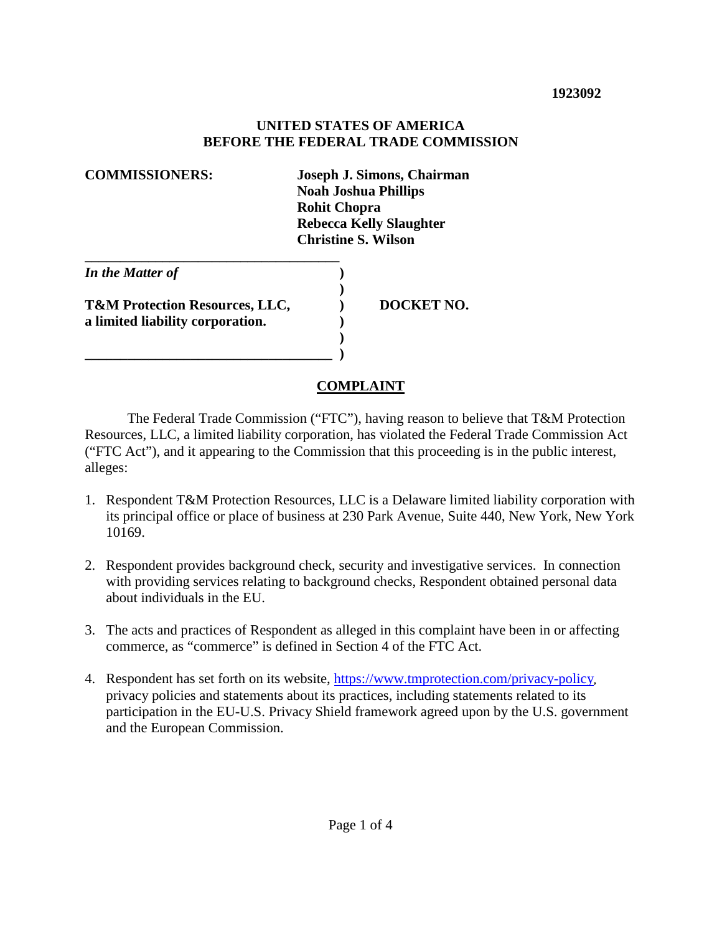#### **UNITED STATES OF AMERICA BEFORE THE FEDERAL TRADE COMMISSION**

| <b>COMMISSIONERS:</b>                                                         | Joseph J. Simons, Chairman<br><b>Noah Joshua Phillips</b><br><b>Rohit Chopra</b><br><b>Rebecca Kelly Slaughter</b><br><b>Christine S. Wilson</b> |
|-------------------------------------------------------------------------------|--------------------------------------------------------------------------------------------------------------------------------------------------|
| In the Matter of                                                              |                                                                                                                                                  |
| <b>T&amp;M Protection Resources, LLC,</b><br>a limited liability corporation. | DOCKET NO.                                                                                                                                       |

### **COMPLAINT**

 The Federal Trade Commission ("FTC"), having reason to believe that T&M Protection Resources, LLC, a limited liability corporation, has violated the Federal Trade Commission Act ("FTC Act"), and it appearing to the Commission that this proceeding is in the public interest, alleges:

- 1. Respondent T&M Protection Resources, LLC is a Delaware limited liability corporation with its principal office or place of business at 230 Park Avenue, Suite 440, New York, New York 10169.
- 2. Respondent provides background check, security and investigative services. In connection with providing services relating to background checks, Respondent obtained personal data about individuals in the EU.
- 3. The acts and practices of Respondent as alleged in this complaint have been in or affecting commerce, as "commerce" is defined in Section 4 of the FTC Act.
- 4. Respondent has set forth on its website, https://www.tmprotection.com/privacy-policy**,**  privacy policies and statements about its practices, including statements related to its participation in the EU-U.S. Privacy Shield framework agreed upon by the U.S. government and the European Commission.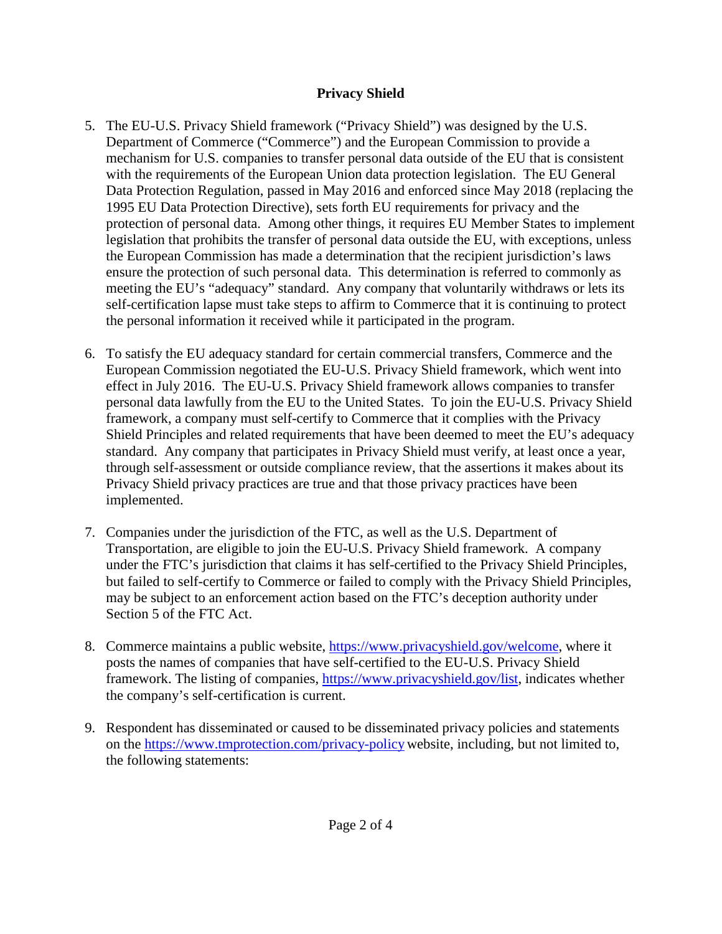### **Privacy Shield**

- 5. The EU-U.S. Privacy Shield framework ("Privacy Shield") was designed by the U.S. Department of Commerce ("Commerce") and the European Commission to provide a mechanism for U.S. companies to transfer personal data outside of the EU that is consistent with the requirements of the European Union data protection legislation. The EU General Data Protection Regulation, passed in May 2016 and enforced since May 2018 (replacing the 1995 EU Data Protection Directive), sets forth EU requirements for privacy and the protection of personal data. Among other things, it requires EU Member States to implement legislation that prohibits the transfer of personal data outside the EU, with exceptions, unless the European Commission has made a determination that the recipient jurisdiction's laws ensure the protection of such personal data. This determination is referred to commonly as meeting the EU's "adequacy" standard. Any company that voluntarily withdraws or lets its self-certification lapse must take steps to affirm to Commerce that it is continuing to protect the personal information it received while it participated in the program.
- 6. To satisfy the EU adequacy standard for certain commercial transfers, Commerce and the European Commission negotiated the EU-U.S. Privacy Shield framework, which went into effect in July 2016. The EU-U.S. Privacy Shield framework allows companies to transfer personal data lawfully from the EU to the United States. To join the EU-U.S. Privacy Shield framework, a company must self-certify to Commerce that it complies with the Privacy Shield Principles and related requirements that have been deemed to meet the EU's adequacy standard. Any company that participates in Privacy Shield must verify, at least once a year, through self-assessment or outside compliance review, that the assertions it makes about its Privacy Shield privacy practices are true and that those privacy practices have been implemented.
- 7. Companies under the jurisdiction of the FTC, as well as the U.S. Department of Transportation, are eligible to join the EU-U.S. Privacy Shield framework. A company under the FTC's jurisdiction that claims it has self-certified to the Privacy Shield Principles, but failed to self-certify to Commerce or failed to comply with the Privacy Shield Principles, may be subject to an enforcement action based on the FTC's deception authority under Section 5 of the FTC Act.
- 8. Commerce maintains a public website, https://www.privacyshield.gov/welcome, where it posts the names of companies that have self-certified to the EU-U.S. Privacy Shield framework. The listing of companies, https://www.privacyshield.gov/list, indicates whether the company's self-certification is current.
- 9. Respondent has disseminated or caused to be disseminated privacy policies and statements on the https://www.tmprotection.com/privacy-policy website, including, but not limited to, the following statements: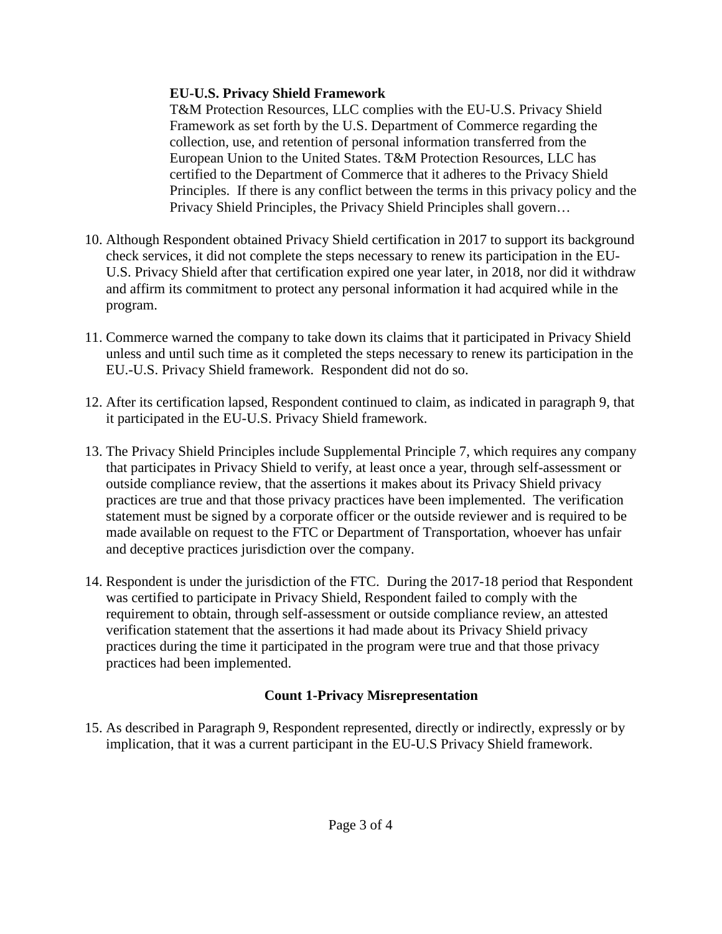### **EU-U.S. Privacy Shield Framework**

T&M Protection Resources, LLC complies with the EU-U.S. Privacy Shield Framework as set forth by the U.S. Department of Commerce regarding the collection, use, and retention of personal information transferred from the European Union to the United States. T&M Protection Resources, LLC has certified to the Department of Commerce that it adheres to the Privacy Shield Principles. If there is any conflict between the terms in this privacy policy and the Privacy Shield Principles, the Privacy Shield Principles shall govern…

- 10. Although Respondent obtained Privacy Shield certification in 2017 to support its background check services, it did not complete the steps necessary to renew its participation in the EU-U.S. Privacy Shield after that certification expired one year later, in 2018, nor did it withdraw and affirm its commitment to protect any personal information it had acquired while in the program.
- 11. Commerce warned the company to take down its claims that it participated in Privacy Shield unless and until such time as it completed the steps necessary to renew its participation in the EU.-U.S. Privacy Shield framework. Respondent did not do so.
- 12. After its certification lapsed, Respondent continued to claim, as indicated in paragraph 9, that it participated in the EU-U.S. Privacy Shield framework.
- 13. The Privacy Shield Principles include Supplemental Principle 7, which requires any company that participates in Privacy Shield to verify, at least once a year, through self-assessment or outside compliance review, that the assertions it makes about its Privacy Shield privacy practices are true and that those privacy practices have been implemented. The verification statement must be signed by a corporate officer or the outside reviewer and is required to be made available on request to the FTC or Department of Transportation, whoever has unfair and deceptive practices jurisdiction over the company.
- 14. Respondent is under the jurisdiction of the FTC. During the 2017-18 period that Respondent was certified to participate in Privacy Shield, Respondent failed to comply with the requirement to obtain, through self-assessment or outside compliance review, an attested verification statement that the assertions it had made about its Privacy Shield privacy practices during the time it participated in the program were true and that those privacy practices had been implemented.

## **Count 1-Privacy Misrepresentation**

15. As described in Paragraph 9, Respondent represented, directly or indirectly, expressly or by implication, that it was a current participant in the EU-U.S Privacy Shield framework.